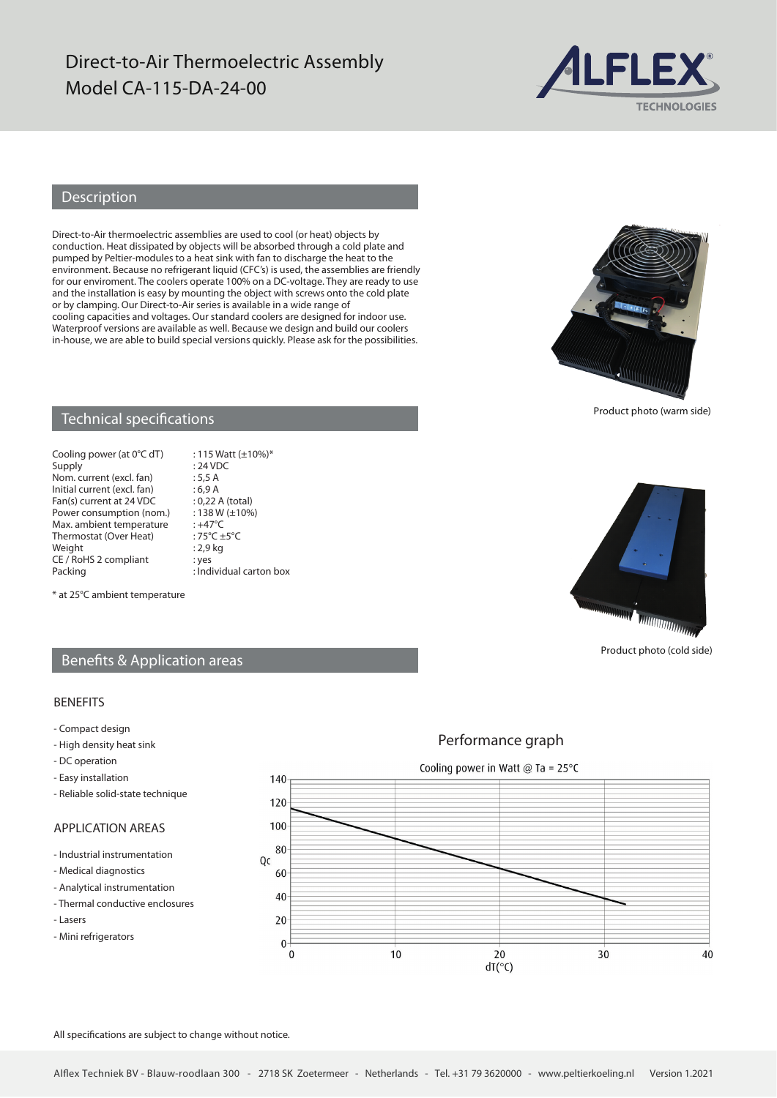# Direct-to-Air Thermoelectric Assembly Model CA-115-DA-24-00



## Description

Direct-to-Air thermoelectric assemblies are used to cool (or heat) objects by conduction. Heat dissipated by objects will be absorbed through a cold plate and pumped by Peltier-modules to a heat sink with fan to discharge the heat to the environment. Because no refrigerant liquid (CFC's) is used, the assemblies are friendly for our enviroment. The coolers operate 100% on a DC-voltage. They are ready to use and the installation is easy by mounting the object with screws onto the cold plate or by clamping. Our Direct-to-Air series is available in a wide range of cooling capacities and voltages. Our standard coolers are designed for indoor use. Waterproof versions are available as well. Because we design and build our coolers in-house, we are able to build special versions quickly. Please ask for the possibilities.



Product photo (warm side)

### Technical specifications

Cooling power (at  $0^{\circ}$ C dT) : 115 Watt (±10%)\* Supply : 24 VDC Nom. current (excl. fan) : 5,5 A<br>Initial current (excl. fan) : 6,9 A Initial current (excl. fan) : 6,9 A<br>Fan(s) current at 24 VDC : 0,22 A (total) Fan(s) current at 24 VDC : 0,22 A (total)<br>Power consumption (nom.) : 138 W ( $\pm$ 10%) Power consumption (nom.) :  $138 W$ <br>Max ambient temperature :  $+47^{\circ}C$ Max. ambient temperature : +47°C<br>Thermostat (Over Heat) : 75°C +5°C Thermostat (Over Heat)<br>Weight CE / RoHS 2 compliant : yes<br>Packing : Ind

 $: 2,9$  kg  $:$  Individual carton box

Product photo (cold side)

#### \* at 25°C ambient temperature

### Benefits & Application areas

#### BENEFITS

- Compact design
- High density heat sink
- DC operation
- Easy installation
- Reliable solid-state technique

### APPLICATION AREAS

- Industrial instrumentation
- Medical diagnostics
- Analytical instrumentation
- Thermal conductive enclosures
- Lasers
- Mini refrigerators

Cooling power in Watt @ Ta =  $25^{\circ}$ C 140  $120$ 100 80 Qc 60 40 20  $\theta$  $\mathbf 0$  $10$ 30 40 20  $dT(°C)$ 

All specifications are subject to change without notice.



Performance graph